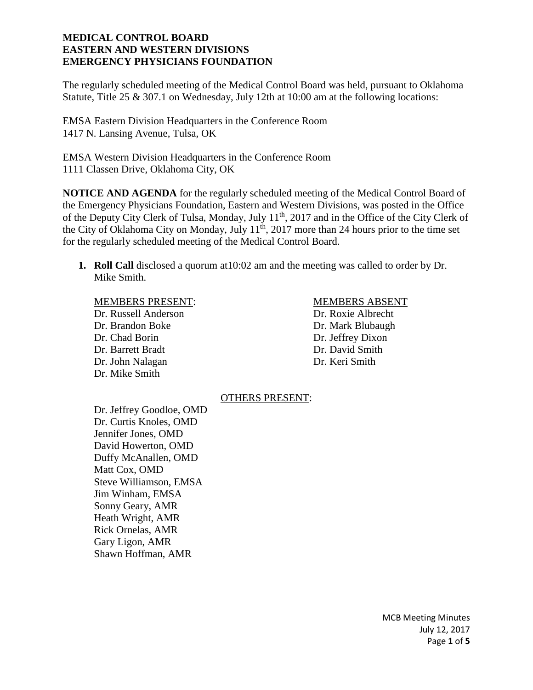The regularly scheduled meeting of the Medical Control Board was held, pursuant to Oklahoma Statute, Title 25 & 307.1 on Wednesday, July 12th at 10:00 am at the following locations:

EMSA Eastern Division Headquarters in the Conference Room 1417 N. Lansing Avenue, Tulsa, OK

EMSA Western Division Headquarters in the Conference Room 1111 Classen Drive, Oklahoma City, OK

**NOTICE AND AGENDA** for the regularly scheduled meeting of the Medical Control Board of the Emergency Physicians Foundation, Eastern and Western Divisions, was posted in the Office of the Deputy City Clerk of Tulsa, Monday, July 11th, 2017 and in the Office of the City Clerk of the City of Oklahoma City on Monday, July 11<sup>th</sup>, 2017 more than 24 hours prior to the time set for the regularly scheduled meeting of the Medical Control Board.

**1. Roll Call** disclosed a quorum at10:02 am and the meeting was called to order by Dr. Mike Smith.

## MEMBERS PRESENT: MEMBERS ABSENT

Dr. Russell Anderson Dr. Roxie Albrecht Dr. Brandon Boke Dr. Mark Blubaugh Dr. Chad Borin Dr. Jeffrey Dixon Dr. Barrett Bradt Dr. David Smith Dr. John Nalagan Dr. Keri Smith Dr. Mike Smith

# OTHERS PRESENT:

Dr. Jeffrey Goodloe, OMD Dr. Curtis Knoles, OMD Jennifer Jones, OMD David Howerton, OMD Duffy McAnallen, OMD Matt Cox, OMD Steve Williamson, EMSA Jim Winham, EMSA Sonny Geary, AMR Heath Wright, AMR Rick Ornelas, AMR Gary Ligon, AMR Shawn Hoffman, AMR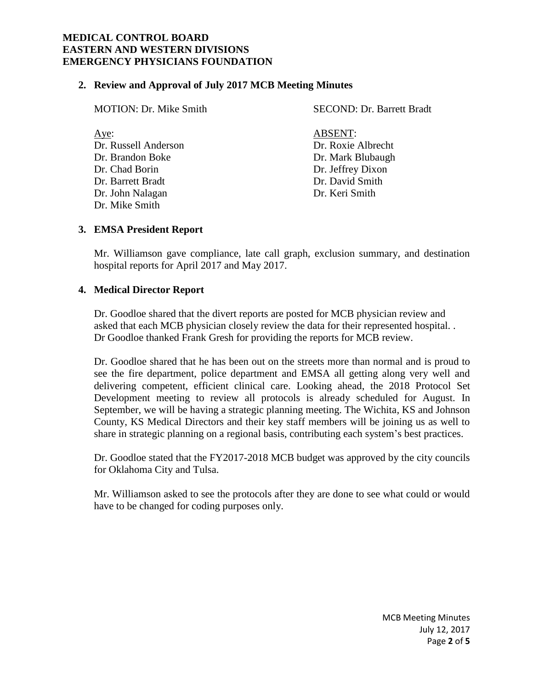#### **2. Review and Approval of July 2017 MCB Meeting Minutes**

| <b>MOTION: Dr. Mike Smith</b>                                                                               | <b>SECOND: Dr. Barrett Bradt</b>                                                                                    |
|-------------------------------------------------------------------------------------------------------------|---------------------------------------------------------------------------------------------------------------------|
| Aye:<br>Dr. Russell Anderson<br>Dr. Brandon Boke<br>Dr. Chad Borin<br>Dr. Barrett Bradt<br>Dr. John Nalagan | <b>ABSENT:</b><br>Dr. Roxie Albrecht<br>Dr. Mark Blubaugh<br>Dr. Jeffrey Dixon<br>Dr. David Smith<br>Dr. Keri Smith |
| Dr. Mike Smith                                                                                              |                                                                                                                     |

## **3. EMSA President Report**

Mr. Williamson gave compliance, late call graph, exclusion summary, and destination hospital reports for April 2017 and May 2017.

## **4. Medical Director Report**

Dr. Goodloe shared that the divert reports are posted for MCB physician review and asked that each MCB physician closely review the data for their represented hospital. . Dr Goodloe thanked Frank Gresh for providing the reports for MCB review.

Dr. Goodloe shared that he has been out on the streets more than normal and is proud to see the fire department, police department and EMSA all getting along very well and delivering competent, efficient clinical care. Looking ahead, the 2018 Protocol Set Development meeting to review all protocols is already scheduled for August. In September, we will be having a strategic planning meeting. The Wichita, KS and Johnson County, KS Medical Directors and their key staff members will be joining us as well to share in strategic planning on a regional basis, contributing each system's best practices.

Dr. Goodloe stated that the FY2017-2018 MCB budget was approved by the city councils for Oklahoma City and Tulsa.

Mr. Williamson asked to see the protocols after they are done to see what could or would have to be changed for coding purposes only.

> MCB Meeting Minutes July 12, 2017 Page **2** of **5**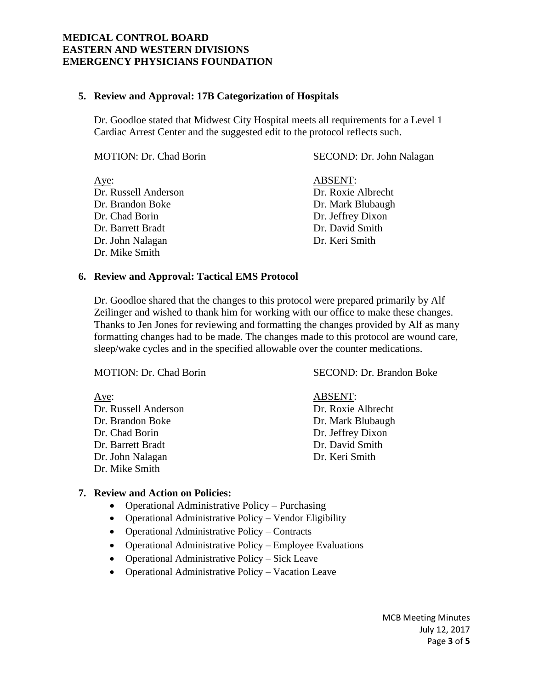## **5. Review and Approval: 17B Categorization of Hospitals**

Dr. Goodloe stated that Midwest City Hospital meets all requirements for a Level 1 Cardiac Arrest Center and the suggested edit to the protocol reflects such.

| <b>MOTION: Dr. Chad Borin</b> | SECOND: Dr. John Nalagan |
|-------------------------------|--------------------------|
| Aye:                          | <b>ABSENT:</b>           |
| Dr. Russell Anderson          | Dr. Roxie Albrecht       |
| Dr. Brandon Boke              | Dr. Mark Blubaugh        |
| Dr. Chad Borin                | Dr. Jeffrey Dixon        |
| Dr. Barrett Bradt             | Dr. David Smith          |
| Dr. John Nalagan              | Dr. Keri Smith           |
| Dr. Mike Smith                |                          |

#### **6. Review and Approval: Tactical EMS Protocol**

Dr. Goodloe shared that the changes to this protocol were prepared primarily by Alf Zeilinger and wished to thank him for working with our office to make these changes. Thanks to Jen Jones for reviewing and formatting the changes provided by Alf as many formatting changes had to be made. The changes made to this protocol are wound care, sleep/wake cycles and in the specified allowable over the counter medications.

MOTION: Dr. Chad Borin SECOND: Dr. Brandon Boke Aye: ABSENT: Dr. Russell Anderson Dr. Roxie Albrecht Dr. Brandon Boke Dr. Mark Blubaugh Dr. Chad Borin Dr. Jeffrey Dixon Dr. Barrett Bradt Dr. David Smith Dr. John Nalagan Dr. Keri Smith

#### **7. Review and Action on Policies:**

Dr. Mike Smith

- Operational Administrative Policy Purchasing
- Operational Administrative Policy *–* Vendor Eligibility
- Operational Administrative Policy *–* Contracts
- Operational Administrative Policy *–* Employee Evaluations
- Operational Administrative Policy *–* Sick Leave
- Operational Administrative Policy *–* Vacation Leave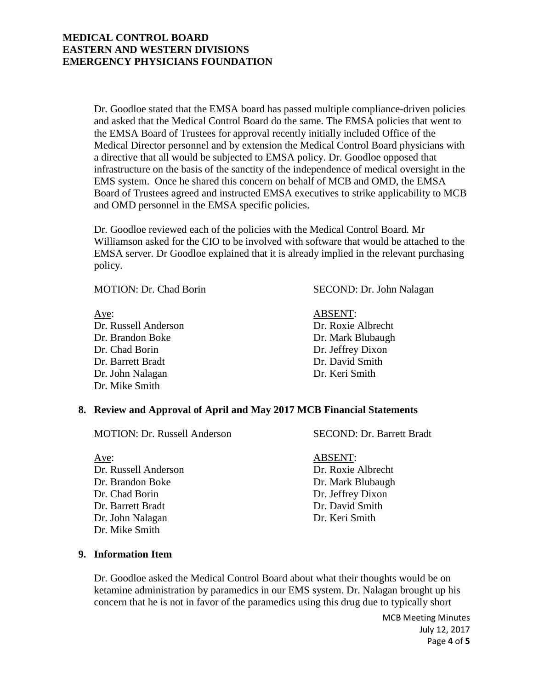Dr. Goodloe stated that the EMSA board has passed multiple compliance-driven policies and asked that the Medical Control Board do the same. The EMSA policies that went to the EMSA Board of Trustees for approval recently initially included Office of the Medical Director personnel and by extension the Medical Control Board physicians with a directive that all would be subjected to EMSA policy. Dr. Goodloe opposed that infrastructure on the basis of the sanctity of the independence of medical oversight in the EMS system. Once he shared this concern on behalf of MCB and OMD, the EMSA Board of Trustees agreed and instructed EMSA executives to strike applicability to MCB and OMD personnel in the EMSA specific policies.

Dr. Goodloe reviewed each of the policies with the Medical Control Board. Mr Williamson asked for the CIO to be involved with software that would be attached to the EMSA server. Dr Goodloe explained that it is already implied in the relevant purchasing policy.

Aye: ABSENT: Dr. Russell Anderson Dr. Roxie Albrecht Dr. Brandon Boke Dr. Mark Blubaugh Dr. Chad Borin Dr. Jeffrey Dixon Dr. Barrett Bradt Dr. David Smith Dr. John Nalagan Dr. Keri Smith Dr. Mike Smith

MOTION: Dr. Chad Borin SECOND: Dr. John Nalagan

# **8. Review and Approval of April and May 2017 MCB Financial Statements**

MOTION: Dr. Russell Anderson SECOND: Dr. Barrett Bradt

Aye: ABSENT: Dr. Russell Anderson Dr. Roxie Albrecht Dr. Brandon Boke Dr. Mark Blubaugh Dr. Chad Borin Dr. Jeffrey Dixon Dr. Barrett Bradt Dr. David Smith Dr. John Nalagan Dr. Keri Smith Dr. Mike Smith

**9. Information Item**

Dr. Goodloe asked the Medical Control Board about what their thoughts would be on ketamine administration by paramedics in our EMS system. Dr. Nalagan brought up his concern that he is not in favor of the paramedics using this drug due to typically short

> MCB Meeting Minutes July 12, 2017 Page **4** of **5**